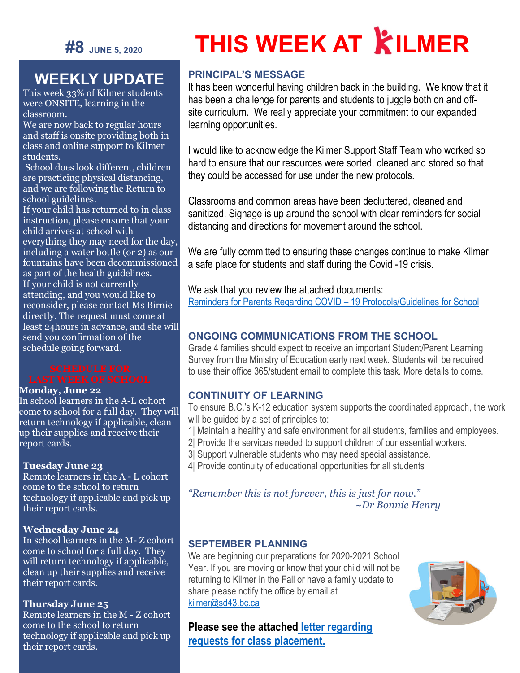

## **WEEKLY UPDATE**

This week 33% of Kilmer students were ONSITE, learning in the classroom.

We are now back to regular hours and staff is onsite providing both in class and online support to Kilmer students.

School does look different, children are practicing physical distancing, and we are following the Return to school guidelines.

If your child has returned to in class instruction, please ensure that your child arrives at school with everything they may need for the day, including a water bottle (or 2) as our fountains have been decommissioned as part of the health guidelines.

If your child is not currently attending, and you would like to reconsider, please contact Ms Birnie directly. The request must come at least 24hours in advance, and she will send you confirmation of the schedule going forward.

#### **Monday, June 22**

In school learners in the A-L cohort come to school for a full day. They will return technology if applicable, clean up their supplies and receive their report cards.

#### **Tuesday June 23**

Remote learners in the A - L cohort come to the school to return technology if applicable and pick up their report cards.

#### **Wednesday June 24**

In school learners in the M- Z cohort come to school for a full day. They will return technology if applicable, clean up their supplies and receive their report cards.

#### **Thursday June 25**

Remote learners in the M - Z cohort come to the school to return technology if applicable and pick up their report cards.

# **THIS WEEK AT KILMER**

#### **PRINCIPAL'S MESSAGE**

It has been wonderful having children back in the building. We know that it has been a challenge for parents and students to juggle both on and offsite curriculum. We really appreciate your commitment to our expanded learning opportunities.

I would like to acknowledge the Kilmer Support Staff Team who worked so hard to ensure that our resources were sorted, cleaned and stored so that they could be accessed for use under the new protocols.

Classrooms and common areas have been decluttered, cleaned and sanitized. Signage is up around the school with clear reminders for social distancing and directions for movement around the school.

We are fully committed to ensuring these changes continue to make Kilmer a safe place for students and staff during the Covid -19 crisis.

We ask that you review the attached documents: [Reminders for Parents Regarding COVID –](https://sd43bcca-my.sharepoint.com/:f:/g/personal/bleavold_sd43_bc_ca/EsfJHSONyltJm517VaqZTPABk6CtYUjCPHHwbUtGPEBJhA?e=Wg3426) 19 Protocols/Guidelines for School

#### **ONGOING COMMUNICATIONS FROM THE SCHOOL**

Grade 4 families should expect to receive an important Student/Parent Learning Survey from the Ministry of Education early next week. Students will be required to use their office 365/student email to complete this task. More details to come.

#### **CONTINUITY OF LEARNING**

To ensure B.C.'s K-12 education system supports the coordinated approach, the work will be guided by a set of principles to:

- 1| Maintain a healthy and safe environment for all students, families and employees.
- 2| Provide the services needed to support children of our essential workers.
- 3| Support vulnerable students who may need special assistance.
- 4| Provide continuity of educational opportunities for all students

*"Remember this is not forever, this is just for now." ~Dr Bonnie Henry*

#### **SEPTEMBER PLANNING**

We are beginning our preparations for 2020-2021 School Year. If you are moving or know that your child will not be returning to Kilmer in the Fall or have a family update to share please notify the office by email at [kilmer@sd43.bc.ca](mailto:kilmer@sd43.bc.ca)